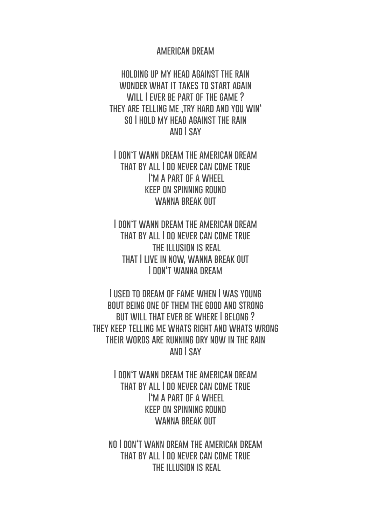## **american dream**

**holding up my head against the rain** WONDER WHAT IT TAKES TO START AGAIN **will I ever be part of the game ?** THEY ARE TELLING ME .TRY HARD AND YOU WIN' **so I hold my head against the rain and I say**

**I don't wann dream the american dream that by all I do never can come true I'm a part of a wheel keep on spinning round** WANNA RRFAK **OUT** 

**I don't wann dream the american dream that by all I do never can come true the illusion is real that I live in now, wanna break out I don't wanna dream**

**I used to dream of fame when I was young bout being one of them the good and strong but will that ever be where I belong ? they keep telling me whats right and whats wrong their words are running dry now in the rain and I say**

> **I don't wann dream the american dream that by all I do never can come true I'm a part of a wheel keep on spinning round** WANNA RRFAK **OUT**

**no I don't wann dream the american dream that by all I do never can come true the illusion is real**